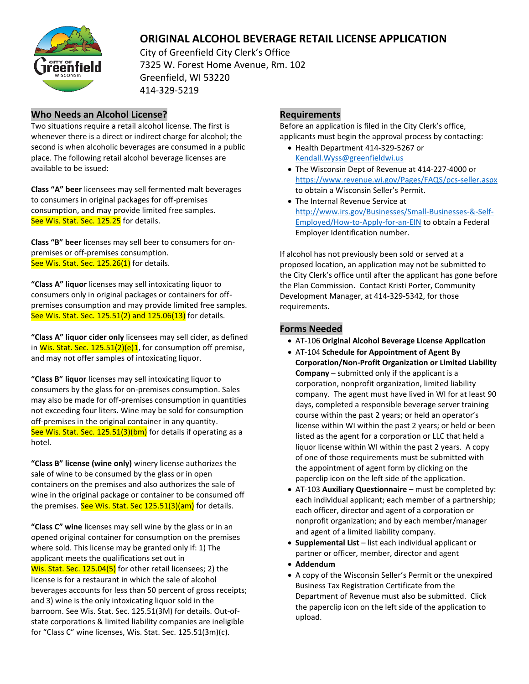

# **ORIGINAL ALCOHOL BEVERAGE RETAIL LICENSE APPLICATION**

City of Greenfield City Clerk's Office 7325 W. Forest Home Avenue, Rm. 102 Greenfield, WI 53220 414-329-5219

#### **Who Needs an Alcohol License?**

Two situations require a retail alcohol license. The first is whenever there is a direct or indirect charge for alcohol; the second is when alcoholic beverages are consumed in a public place. The following retail alcohol beverage licenses are available to be issued:

**Class "A" beer** licensees may sell fermented malt beverages to consumers in original packages for off-premises consumption, and may provide limited free samples. See Wis. Stat. Sec. 125.25 for details.

**Class "B" beer** licenses may sell beer to consumers for onpremises or off-premises consumption. See Wis. Stat. Sec. 125.26(1) for details.

**"Class A" liquor** licenses may sell intoxicating liquor to consumers only in original packages or containers for offpremises consumption and may provide limited free samples. See Wis. Stat. Sec. 125.51(2) and 125.06(13) for details.

**"Class A" liquor cider only** licensees may sell cider, as defined in Wis. Stat. Sec.  $125.51(2)(e)1$ , for consumption off premise, and may not offer samples of intoxicating liquor.

**"Class B" liquor** licenses may sell intoxicating liquor to consumers by the glass for on-premises consumption. Sales may also be made for off-premises consumption in quantities not exceeding four liters. Wine may be sold for consumption off-premises in the original container in any quantity. See Wis. Stat. Sec. 125.51(3)(bm) for details if operating as a hotel.

**"Class B" license (wine only)** winery license authorizes the sale of wine to be consumed by the glass or in open containers on the premises and also authorizes the sale of wine in the original package or container to be consumed off the premises. See Wis. Stat. Sec  $125.51(3)(am)$  for details.

**"Class C" wine** licenses may sell wine by the glass or in an opened original container for consumption on the premises where sold. This license may be granted only if: 1) The applicant meets the qualifications set out in Wis. Stat. Sec. 125.04(5) for other retail licensees; 2) the license is for a restaurant in which the sale of alcohol beverages accounts for less than 50 percent of gross receipts; and 3) wine is the only intoxicating liquor sold in the barroom. See Wis. Stat. Sec. 125.51(3M) for details. Out-ofstate corporations & limited liability companies are ineligible for "Class C" wine licenses, Wis. Stat. Sec. 125.51(3m)(c).

## **Requirements**

Before an application is filed in the City Clerk's office, applicants must begin the approval process by contacting:

- Health Department 414-329-5267 or Kendall.Wyss@greenfieldwi.us
- The Wisconsin Dept of Revenue at 414-227-4000 or <https://www.revenue.wi.gov/Pages/FAQS/pcs-seller.aspx> to obtain a Wisconsin Seller's Permit.
- The Internal Revenue Service at [http://www.irs.gov/Businesses/Small-Businesses-&-Self-](http://www.irs.gov/Businesses/Small-Businesses-&-Self-Employed/How-to-Apply-for-an-EIN)[Employed/How-to-Apply-for-an-EIN](http://www.irs.gov/Businesses/Small-Businesses-&-Self-Employed/How-to-Apply-for-an-EIN) to obtain a Federal Employer Identification number.

If alcohol has not previously been sold or served at a proposed location, an application may not be submitted to the City Clerk's office until after the applicant has gone before the Plan Commission. Contact Kristi Porter, Community Development Manager, at 414-329-5342, for those requirements.

#### **Forms Needed**

- AT-106 **Original Alcohol Beverage License Application**
- AT-104 **Schedule for Appointment of Agent By Corporation/Non-Profit Organization or Limited Liability Company** – submitted only if the applicant is a corporation, nonprofit organization, limited liability company. The agent must have lived in WI for at least 90 days, completed a responsible beverage server training course within the past 2 years; or held an operator's license within WI within the past 2 years; or held or been listed as the agent for a corporation or LLC that held a liquor license within WI within the past 2 years. A copy of one of those requirements must be submitted with the appointment of agent form by clicking on the paperclip icon on the left side of the application.
- AT-103 **Auxiliary Questionnaire** must be completed by: each individual applicant; each member of a partnership; each officer, director and agent of a corporation or nonprofit organization; and by each member/manager and agent of a limited liability company.
- **Supplemental List** list each individual applicant or partner or officer, member, director and agent
- **Addendum**
- A copy of the Wisconsin Seller's Permit or the unexpired Business Tax Registration Certificate from the Department of Revenue must also be submitted. Click the paperclip icon on the left side of the application to upload.